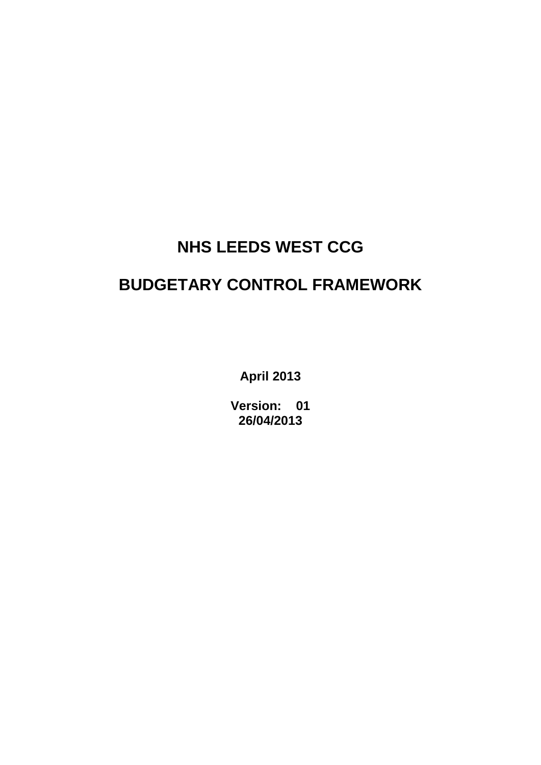# **NHS LEEDS WEST CCG**

## **BUDGETARY CONTROL FRAMEWORK**

**April 2013**

**Version: 01 26/04/2013**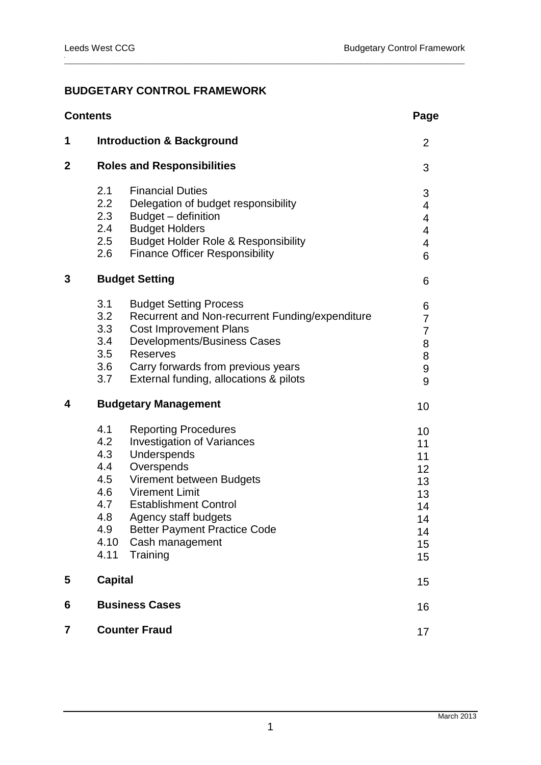## **BUDGETARY CONTROL FRAMEWORK**

| 1<br><b>Introduction &amp; Background</b><br>$\mathbf 2$<br><b>Roles and Responsibilities</b><br>2.1<br><b>Financial Duties</b><br>2.2<br>Delegation of budget responsibility<br>2.3<br>Budget - definition<br><b>Budget Holders</b><br>2.4<br>2.5<br><b>Budget Holder Role &amp; Responsibility</b><br><b>Finance Officer Responsibility</b><br>2.6<br>3<br><b>Budget Setting</b><br>3.1<br><b>Budget Setting Process</b><br>3.2<br>Recurrent and Non-recurrent Funding/expenditure<br>3.3<br><b>Cost Improvement Plans</b><br><b>Developments/Business Cases</b><br>3.4<br>3.5<br><b>Reserves</b><br>3.6<br>Carry forwards from previous years<br>External funding, allocations & pilots<br>3.7<br>4<br><b>Budgetary Management</b><br>4.1<br><b>Reporting Procedures</b><br>4.2<br><b>Investigation of Variances</b><br>4.3<br>Underspends<br>Overspends<br>4.4<br>4.5<br>Virement between Budgets<br>4.6<br><b>Virement Limit</b><br><b>Establishment Control</b><br>4.7<br>4.8<br>Agency staff budgets<br><b>Better Payment Practice Code</b><br>4.9<br>4.10<br>Cash management<br>4.11<br>Training<br><b>Capital</b><br>5<br><b>Business Cases</b><br>6<br><b>Counter Fraud</b><br>7 | <b>Contents</b> |  |  | Page                                                           |
|--------------------------------------------------------------------------------------------------------------------------------------------------------------------------------------------------------------------------------------------------------------------------------------------------------------------------------------------------------------------------------------------------------------------------------------------------------------------------------------------------------------------------------------------------------------------------------------------------------------------------------------------------------------------------------------------------------------------------------------------------------------------------------------------------------------------------------------------------------------------------------------------------------------------------------------------------------------------------------------------------------------------------------------------------------------------------------------------------------------------------------------------------------------------------------------------|-----------------|--|--|----------------------------------------------------------------|
|                                                                                                                                                                                                                                                                                                                                                                                                                                                                                                                                                                                                                                                                                                                                                                                                                                                                                                                                                                                                                                                                                                                                                                                            |                 |  |  | $\overline{2}$                                                 |
|                                                                                                                                                                                                                                                                                                                                                                                                                                                                                                                                                                                                                                                                                                                                                                                                                                                                                                                                                                                                                                                                                                                                                                                            |                 |  |  | 3                                                              |
|                                                                                                                                                                                                                                                                                                                                                                                                                                                                                                                                                                                                                                                                                                                                                                                                                                                                                                                                                                                                                                                                                                                                                                                            |                 |  |  | 3<br>4<br>4<br>4<br>4<br>6                                     |
|                                                                                                                                                                                                                                                                                                                                                                                                                                                                                                                                                                                                                                                                                                                                                                                                                                                                                                                                                                                                                                                                                                                                                                                            |                 |  |  | 6                                                              |
|                                                                                                                                                                                                                                                                                                                                                                                                                                                                                                                                                                                                                                                                                                                                                                                                                                                                                                                                                                                                                                                                                                                                                                                            |                 |  |  | 6<br>7<br>7<br>8<br>8<br>$\boldsymbol{9}$<br>9                 |
|                                                                                                                                                                                                                                                                                                                                                                                                                                                                                                                                                                                                                                                                                                                                                                                                                                                                                                                                                                                                                                                                                                                                                                                            |                 |  |  | 10                                                             |
|                                                                                                                                                                                                                                                                                                                                                                                                                                                                                                                                                                                                                                                                                                                                                                                                                                                                                                                                                                                                                                                                                                                                                                                            |                 |  |  | 10<br>11<br>11<br>12<br>13<br>13<br>14<br>14<br>14<br>15<br>15 |
|                                                                                                                                                                                                                                                                                                                                                                                                                                                                                                                                                                                                                                                                                                                                                                                                                                                                                                                                                                                                                                                                                                                                                                                            |                 |  |  | 15                                                             |
|                                                                                                                                                                                                                                                                                                                                                                                                                                                                                                                                                                                                                                                                                                                                                                                                                                                                                                                                                                                                                                                                                                                                                                                            |                 |  |  | 16                                                             |
|                                                                                                                                                                                                                                                                                                                                                                                                                                                                                                                                                                                                                                                                                                                                                                                                                                                                                                                                                                                                                                                                                                                                                                                            |                 |  |  | 17                                                             |

**\_\_\_\_\_\_\_\_\_\_\_\_\_\_\_\_\_\_\_\_\_\_\_\_\_\_\_\_\_\_\_\_\_\_\_\_\_\_\_\_\_\_\_\_\_\_\_\_\_\_\_\_\_\_\_\_\_\_\_\_\_\_\_\_\_\_**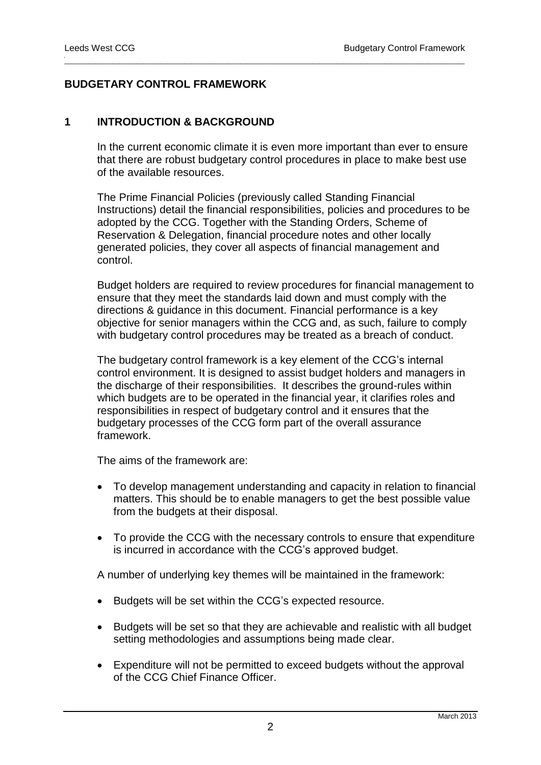## **BUDGETARY CONTROL FRAMEWORK**

#### **1 INTRODUCTION & BACKGROUND**

In the current economic climate it is even more important than ever to ensure that there are robust budgetary control procedures in place to make best use of the available resources.

**\_\_\_\_\_\_\_\_\_\_\_\_\_\_\_\_\_\_\_\_\_\_\_\_\_\_\_\_\_\_\_\_\_\_\_\_\_\_\_\_\_\_\_\_\_\_\_\_\_\_\_\_\_\_\_\_\_\_\_\_\_\_\_\_\_\_**

The Prime Financial Policies (previously called Standing Financial Instructions) detail the financial responsibilities, policies and procedures to be adopted by the CCG. Together with the Standing Orders, Scheme of Reservation & Delegation, financial procedure notes and other locally generated policies, they cover all aspects of financial management and control.

Budget holders are required to review procedures for financial management to ensure that they meet the standards laid down and must comply with the directions & guidance in this document. Financial performance is a key objective for senior managers within the CCG and, as such, failure to comply with budgetary control procedures may be treated as a breach of conduct.

The budgetary control framework is a key element of the CCG's internal control environment. It is designed to assist budget holders and managers in the discharge of their responsibilities. It describes the ground-rules within which budgets are to be operated in the financial year, it clarifies roles and responsibilities in respect of budgetary control and it ensures that the budgetary processes of the CCG form part of the overall assurance framework.

The aims of the framework are:

- To develop management understanding and capacity in relation to financial matters. This should be to enable managers to get the best possible value from the budgets at their disposal.
- To provide the CCG with the necessary controls to ensure that expenditure is incurred in accordance with the CCG's approved budget.

A number of underlying key themes will be maintained in the framework:

- Budgets will be set within the CCG's expected resource.
- Budgets will be set so that they are achievable and realistic with all budget setting methodologies and assumptions being made clear.
- Expenditure will not be permitted to exceed budgets without the approval of the CCG Chief Finance Officer.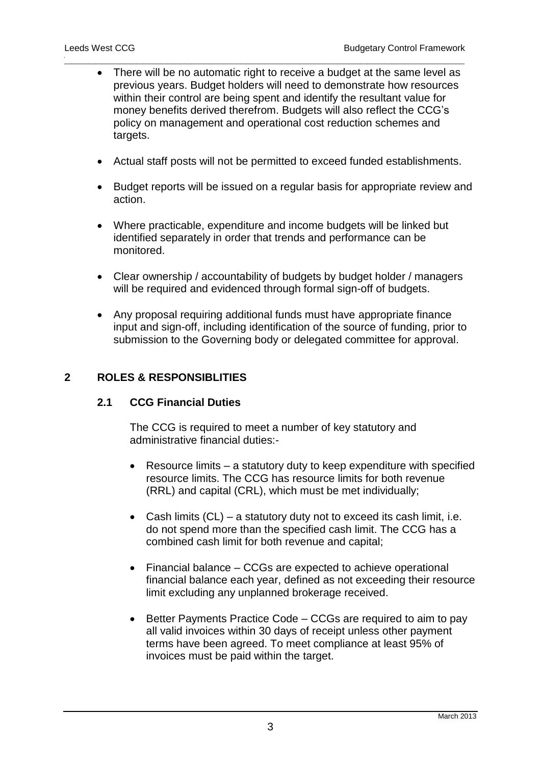There will be no automatic right to receive a budget at the same level as previous years. Budget holders will need to demonstrate how resources within their control are being spent and identify the resultant value for money benefits derived therefrom. Budgets will also reflect the CCG's policy on management and operational cost reduction schemes and targets.

**\_\_\_\_\_\_\_\_\_\_\_\_\_\_\_\_\_\_\_\_\_\_\_\_\_\_\_\_\_\_\_\_\_\_\_\_\_\_\_\_\_\_\_\_\_\_\_\_\_\_\_\_\_\_\_\_\_\_\_\_\_\_\_\_\_\_**

- Actual staff posts will not be permitted to exceed funded establishments.
- Budget reports will be issued on a regular basis for appropriate review and action.
- Where practicable, expenditure and income budgets will be linked but identified separately in order that trends and performance can be monitored.
- Clear ownership / accountability of budgets by budget holder / managers will be required and evidenced through formal sign-off of budgets.
- Any proposal requiring additional funds must have appropriate finance input and sign-off, including identification of the source of funding, prior to submission to the Governing body or delegated committee for approval.

#### **2 ROLES & RESPONSIBLITIES**

#### **2.1 CCG Financial Duties**

The CCG is required to meet a number of key statutory and administrative financial duties:-

- Resource limits a statutory duty to keep expenditure with specified resource limits. The CCG has resource limits for both revenue (RRL) and capital (CRL), which must be met individually;
- Cash limits  $(CL)$  a statutory duty not to exceed its cash limit, i.e. do not spend more than the specified cash limit. The CCG has a combined cash limit for both revenue and capital;
- Financial balance CCGs are expected to achieve operational financial balance each year, defined as not exceeding their resource limit excluding any unplanned brokerage received.
- Better Payments Practice Code CCGs are required to aim to pay all valid invoices within 30 days of receipt unless other payment terms have been agreed. To meet compliance at least 95% of invoices must be paid within the target.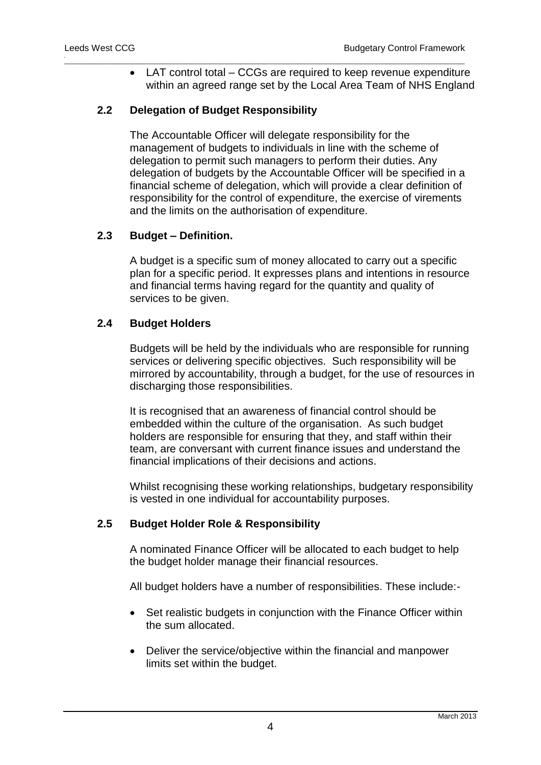LAT control total – CCGs are required to keep revenue expenditure within an agreed range set by the Local Area Team of NHS England

**\_\_\_\_\_\_\_\_\_\_\_\_\_\_\_\_\_\_\_\_\_\_\_\_\_\_\_\_\_\_\_\_\_\_\_\_\_\_\_\_\_\_\_\_\_\_\_\_\_\_\_\_\_\_\_\_\_\_\_\_\_\_\_\_\_\_**

## **2.2 Delegation of Budget Responsibility**

The Accountable Officer will delegate responsibility for the management of budgets to individuals in line with the scheme of delegation to permit such managers to perform their duties. Any delegation of budgets by the Accountable Officer will be specified in a financial scheme of delegation, which will provide a clear definition of responsibility for the control of expenditure, the exercise of virements and the limits on the authorisation of expenditure.

#### **2.3 Budget – Definition.**

A budget is a specific sum of money allocated to carry out a specific plan for a specific period. It expresses plans and intentions in resource and financial terms having regard for the quantity and quality of services to be given.

#### **2.4 Budget Holders**

Budgets will be held by the individuals who are responsible for running services or delivering specific objectives. Such responsibility will be mirrored by accountability, through a budget, for the use of resources in discharging those responsibilities.

It is recognised that an awareness of financial control should be embedded within the culture of the organisation. As such budget holders are responsible for ensuring that they, and staff within their team, are conversant with current finance issues and understand the financial implications of their decisions and actions.

Whilst recognising these working relationships, budgetary responsibility is vested in one individual for accountability purposes.

## **2.5 Budget Holder Role & Responsibility**

A nominated Finance Officer will be allocated to each budget to help the budget holder manage their financial resources.

All budget holders have a number of responsibilities. These include:-

- Set realistic budgets in conjunction with the Finance Officer within the sum allocated.
- Deliver the service/objective within the financial and manpower limits set within the budget.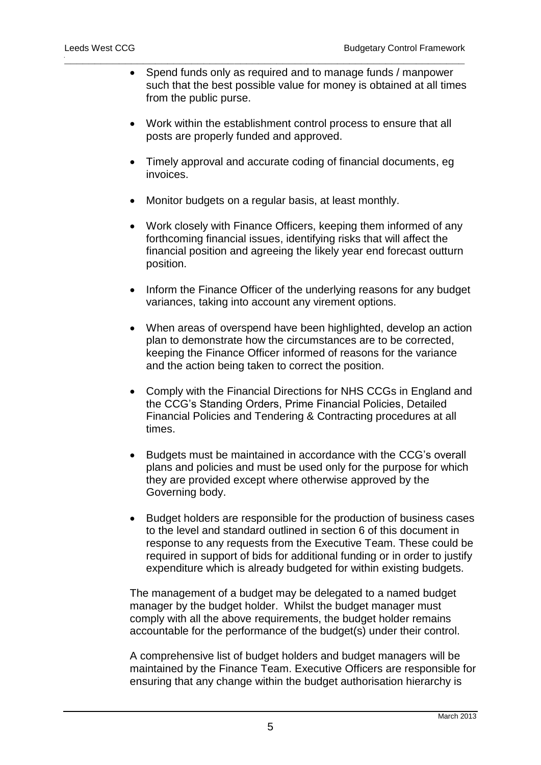- Spend funds only as required and to manage funds / manpower such that the best possible value for money is obtained at all times from the public purse.
- Work within the establishment control process to ensure that all posts are properly funded and approved.
- Timely approval and accurate coding of financial documents, eg invoices.
- Monitor budgets on a regular basis, at least monthly.

**\_\_\_\_\_\_\_\_\_\_\_\_\_\_\_\_\_\_\_\_\_\_\_\_\_\_\_\_\_\_\_\_\_\_\_\_\_\_\_\_\_\_\_\_\_\_\_\_\_\_\_\_\_\_\_\_\_\_\_\_\_\_\_\_\_\_**

- Work closely with Finance Officers, keeping them informed of any forthcoming financial issues, identifying risks that will affect the financial position and agreeing the likely year end forecast outturn position.
- Inform the Finance Officer of the underlying reasons for any budget variances, taking into account any virement options.
- When areas of overspend have been highlighted, develop an action plan to demonstrate how the circumstances are to be corrected, keeping the Finance Officer informed of reasons for the variance and the action being taken to correct the position.
- Comply with the Financial Directions for NHS CCGs in England and the CCG's Standing Orders, Prime Financial Policies, Detailed Financial Policies and Tendering & Contracting procedures at all times.
- Budgets must be maintained in accordance with the CCG's overall plans and policies and must be used only for the purpose for which they are provided except where otherwise approved by the Governing body.
- Budget holders are responsible for the production of business cases to the level and standard outlined in section 6 of this document in response to any requests from the Executive Team. These could be required in support of bids for additional funding or in order to justify expenditure which is already budgeted for within existing budgets.

The management of a budget may be delegated to a named budget manager by the budget holder. Whilst the budget manager must comply with all the above requirements, the budget holder remains accountable for the performance of the budget(s) under their control.

A comprehensive list of budget holders and budget managers will be maintained by the Finance Team. Executive Officers are responsible for ensuring that any change within the budget authorisation hierarchy is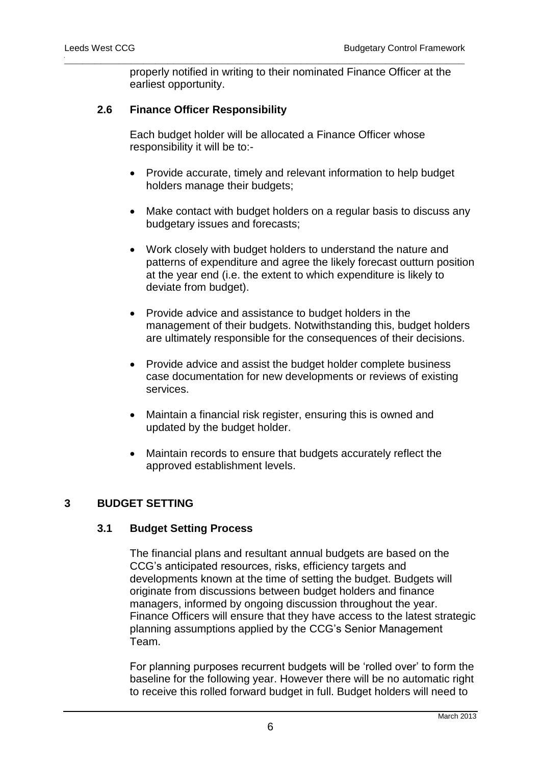properly notified in writing to their nominated Finance Officer at the earliest opportunity.

## **2.6 Finance Officer Responsibility**

Each budget holder will be allocated a Finance Officer whose responsibility it will be to:-

**\_\_\_\_\_\_\_\_\_\_\_\_\_\_\_\_\_\_\_\_\_\_\_\_\_\_\_\_\_\_\_\_\_\_\_\_\_\_\_\_\_\_\_\_\_\_\_\_\_\_\_\_\_\_\_\_\_\_\_\_\_\_\_\_\_\_**

- Provide accurate, timely and relevant information to help budget holders manage their budgets;
- Make contact with budget holders on a regular basis to discuss any budgetary issues and forecasts;
- Work closely with budget holders to understand the nature and patterns of expenditure and agree the likely forecast outturn position at the year end (i.e. the extent to which expenditure is likely to deviate from budget).
- Provide advice and assistance to budget holders in the management of their budgets. Notwithstanding this, budget holders are ultimately responsible for the consequences of their decisions.
- Provide advice and assist the budget holder complete business case documentation for new developments or reviews of existing services.
- Maintain a financial risk register, ensuring this is owned and updated by the budget holder.
- Maintain records to ensure that budgets accurately reflect the approved establishment levels.

#### **3 BUDGET SETTING**

#### **3.1 Budget Setting Process**

The financial plans and resultant annual budgets are based on the CCG's anticipated resources, risks, efficiency targets and developments known at the time of setting the budget. Budgets will originate from discussions between budget holders and finance managers, informed by ongoing discussion throughout the year. Finance Officers will ensure that they have access to the latest strategic planning assumptions applied by the CCG's Senior Management Team.

For planning purposes recurrent budgets will be 'rolled over' to form the baseline for the following year. However there will be no automatic right to receive this rolled forward budget in full. Budget holders will need to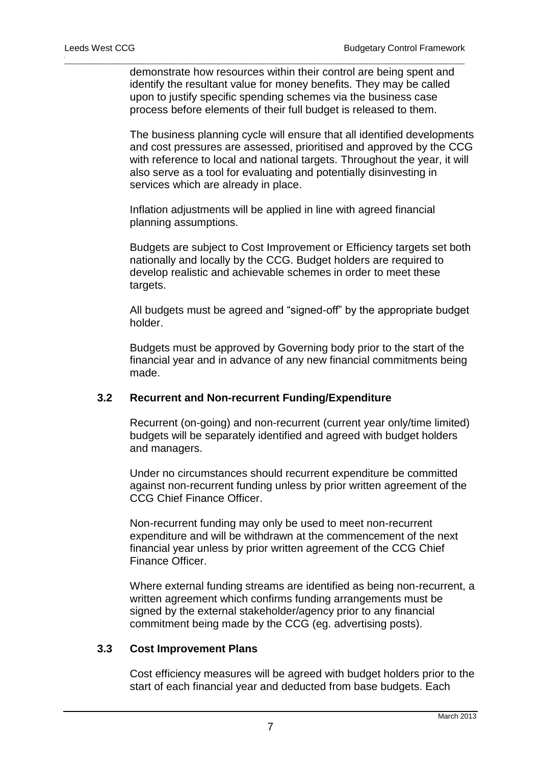demonstrate how resources within their control are being spent and identify the resultant value for money benefits. They may be called upon to justify specific spending schemes via the business case process before elements of their full budget is released to them.

**\_\_\_\_\_\_\_\_\_\_\_\_\_\_\_\_\_\_\_\_\_\_\_\_\_\_\_\_\_\_\_\_\_\_\_\_\_\_\_\_\_\_\_\_\_\_\_\_\_\_\_\_\_\_\_\_\_\_\_\_\_\_\_\_\_\_**

The business planning cycle will ensure that all identified developments and cost pressures are assessed, prioritised and approved by the CCG with reference to local and national targets. Throughout the year, it will also serve as a tool for evaluating and potentially disinvesting in services which are already in place.

Inflation adjustments will be applied in line with agreed financial planning assumptions.

Budgets are subject to Cost Improvement or Efficiency targets set both nationally and locally by the CCG. Budget holders are required to develop realistic and achievable schemes in order to meet these targets.

All budgets must be agreed and "signed-off" by the appropriate budget holder.

Budgets must be approved by Governing body prior to the start of the financial year and in advance of any new financial commitments being made.

#### **3.2 Recurrent and Non-recurrent Funding/Expenditure**

Recurrent (on-going) and non-recurrent (current year only/time limited) budgets will be separately identified and agreed with budget holders and managers.

Under no circumstances should recurrent expenditure be committed against non-recurrent funding unless by prior written agreement of the CCG Chief Finance Officer.

Non-recurrent funding may only be used to meet non-recurrent expenditure and will be withdrawn at the commencement of the next financial year unless by prior written agreement of the CCG Chief Finance Officer.

Where external funding streams are identified as being non-recurrent, a written agreement which confirms funding arrangements must be signed by the external stakeholder/agency prior to any financial commitment being made by the CCG (eg. advertising posts).

#### **3.3 Cost Improvement Plans**

Cost efficiency measures will be agreed with budget holders prior to the start of each financial year and deducted from base budgets. Each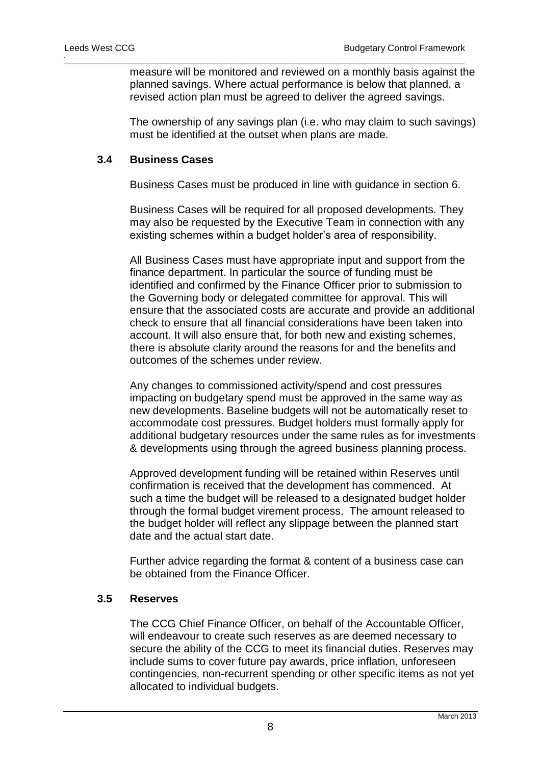measure will be monitored and reviewed on a monthly basis against the planned savings. Where actual performance is below that planned, a revised action plan must be agreed to deliver the agreed savings.

**\_\_\_\_\_\_\_\_\_\_\_\_\_\_\_\_\_\_\_\_\_\_\_\_\_\_\_\_\_\_\_\_\_\_\_\_\_\_\_\_\_\_\_\_\_\_\_\_\_\_\_\_\_\_\_\_\_\_\_\_\_\_\_\_\_\_**

The ownership of any savings plan (i.e. who may claim to such savings) must be identified at the outset when plans are made.

#### **3.4 Business Cases**

Business Cases must be produced in line with guidance in section 6.

Business Cases will be required for all proposed developments. They may also be requested by the Executive Team in connection with any existing schemes within a budget holder's area of responsibility.

All Business Cases must have appropriate input and support from the finance department. In particular the source of funding must be identified and confirmed by the Finance Officer prior to submission to the Governing body or delegated committee for approval. This will ensure that the associated costs are accurate and provide an additional check to ensure that all financial considerations have been taken into account. It will also ensure that, for both new and existing schemes, there is absolute clarity around the reasons for and the benefits and outcomes of the schemes under review.

Any changes to commissioned activity/spend and cost pressures impacting on budgetary spend must be approved in the same way as new developments. Baseline budgets will not be automatically reset to accommodate cost pressures. Budget holders must formally apply for additional budgetary resources under the same rules as for investments & developments using through the agreed business planning process.

Approved development funding will be retained within Reserves until confirmation is received that the development has commenced. At such a time the budget will be released to a designated budget holder through the formal budget virement process. The amount released to the budget holder will reflect any slippage between the planned start date and the actual start date.

Further advice regarding the format & content of a business case can be obtained from the Finance Officer.

## **3.5 Reserves**

The CCG Chief Finance Officer, on behalf of the Accountable Officer, will endeavour to create such reserves as are deemed necessary to secure the ability of the CCG to meet its financial duties. Reserves may include sums to cover future pay awards, price inflation, unforeseen contingencies, non-recurrent spending or other specific items as not yet allocated to individual budgets.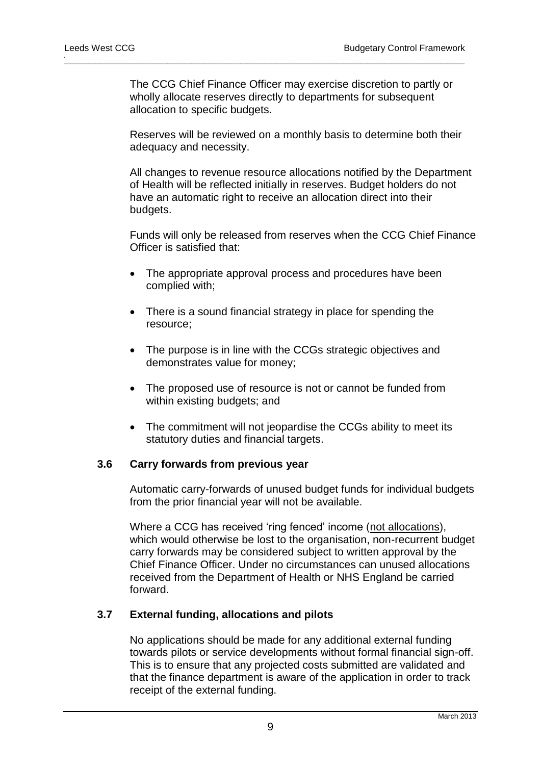The CCG Chief Finance Officer may exercise discretion to partly or wholly allocate reserves directly to departments for subsequent allocation to specific budgets.

**\_\_\_\_\_\_\_\_\_\_\_\_\_\_\_\_\_\_\_\_\_\_\_\_\_\_\_\_\_\_\_\_\_\_\_\_\_\_\_\_\_\_\_\_\_\_\_\_\_\_\_\_\_\_\_\_\_\_\_\_\_\_\_\_\_\_**

Reserves will be reviewed on a monthly basis to determine both their adequacy and necessity.

All changes to revenue resource allocations notified by the Department of Health will be reflected initially in reserves. Budget holders do not have an automatic right to receive an allocation direct into their budgets.

Funds will only be released from reserves when the CCG Chief Finance Officer is satisfied that:

- The appropriate approval process and procedures have been complied with;
- There is a sound financial strategy in place for spending the resource;
- The purpose is in line with the CCGs strategic objectives and demonstrates value for money;
- The proposed use of resource is not or cannot be funded from within existing budgets; and
- The commitment will not jeopardise the CCGs ability to meet its statutory duties and financial targets.

#### **3.6 Carry forwards from previous year**

Automatic carry-forwards of unused budget funds for individual budgets from the prior financial year will not be available.

Where a CCG has received 'ring fenced' income (not allocations), which would otherwise be lost to the organisation, non-recurrent budget carry forwards may be considered subject to written approval by the Chief Finance Officer. Under no circumstances can unused allocations received from the Department of Health or NHS England be carried forward.

#### **3.7 External funding, allocations and pilots**

No applications should be made for any additional external funding towards pilots or service developments without formal financial sign-off. This is to ensure that any projected costs submitted are validated and that the finance department is aware of the application in order to track receipt of the external funding.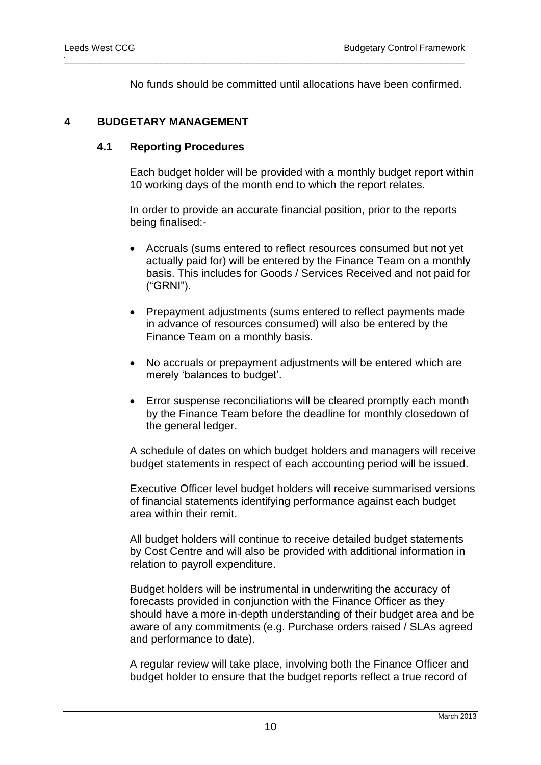No funds should be committed until allocations have been confirmed.

**\_\_\_\_\_\_\_\_\_\_\_\_\_\_\_\_\_\_\_\_\_\_\_\_\_\_\_\_\_\_\_\_\_\_\_\_\_\_\_\_\_\_\_\_\_\_\_\_\_\_\_\_\_\_\_\_\_\_\_\_\_\_\_\_\_\_**

#### **4 BUDGETARY MANAGEMENT**

## **4.1 Reporting Procedures**

Each budget holder will be provided with a monthly budget report within 10 working days of the month end to which the report relates.

In order to provide an accurate financial position, prior to the reports being finalised:-

- Accruals (sums entered to reflect resources consumed but not yet actually paid for) will be entered by the Finance Team on a monthly basis. This includes for Goods / Services Received and not paid for ("GRNI").
- Prepayment adjustments (sums entered to reflect payments made in advance of resources consumed) will also be entered by the Finance Team on a monthly basis.
- No accruals or prepayment adjustments will be entered which are merely 'balances to budget'.
- Error suspense reconciliations will be cleared promptly each month by the Finance Team before the deadline for monthly closedown of the general ledger.

A schedule of dates on which budget holders and managers will receive budget statements in respect of each accounting period will be issued.

Executive Officer level budget holders will receive summarised versions of financial statements identifying performance against each budget area within their remit.

All budget holders will continue to receive detailed budget statements by Cost Centre and will also be provided with additional information in relation to payroll expenditure.

Budget holders will be instrumental in underwriting the accuracy of forecasts provided in conjunction with the Finance Officer as they should have a more in-depth understanding of their budget area and be aware of any commitments (e.g. Purchase orders raised / SLAs agreed and performance to date).

A regular review will take place, involving both the Finance Officer and budget holder to ensure that the budget reports reflect a true record of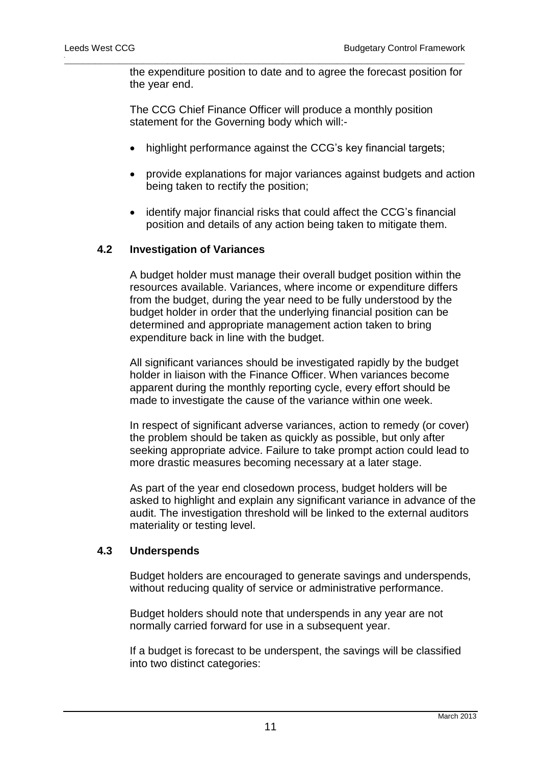the expenditure position to date and to agree the forecast position for the year end.

The CCG Chief Finance Officer will produce a monthly position statement for the Governing body which will:-

**\_\_\_\_\_\_\_\_\_\_\_\_\_\_\_\_\_\_\_\_\_\_\_\_\_\_\_\_\_\_\_\_\_\_\_\_\_\_\_\_\_\_\_\_\_\_\_\_\_\_\_\_\_\_\_\_\_\_\_\_\_\_\_\_\_\_**

- highlight performance against the CCG's key financial targets;
- provide explanations for major variances against budgets and action being taken to rectify the position;
- identify major financial risks that could affect the CCG's financial position and details of any action being taken to mitigate them.

#### **4.2 Investigation of Variances**

A budget holder must manage their overall budget position within the resources available. Variances, where income or expenditure differs from the budget, during the year need to be fully understood by the budget holder in order that the underlying financial position can be determined and appropriate management action taken to bring expenditure back in line with the budget.

All significant variances should be investigated rapidly by the budget holder in liaison with the Finance Officer. When variances become apparent during the monthly reporting cycle, every effort should be made to investigate the cause of the variance within one week.

In respect of significant adverse variances, action to remedy (or cover) the problem should be taken as quickly as possible, but only after seeking appropriate advice. Failure to take prompt action could lead to more drastic measures becoming necessary at a later stage.

As part of the year end closedown process, budget holders will be asked to highlight and explain any significant variance in advance of the audit. The investigation threshold will be linked to the external auditors materiality or testing level.

#### **4.3 Underspends**

Budget holders are encouraged to generate savings and underspends, without reducing quality of service or administrative performance.

Budget holders should note that underspends in any year are not normally carried forward for use in a subsequent year.

If a budget is forecast to be underspent, the savings will be classified into two distinct categories: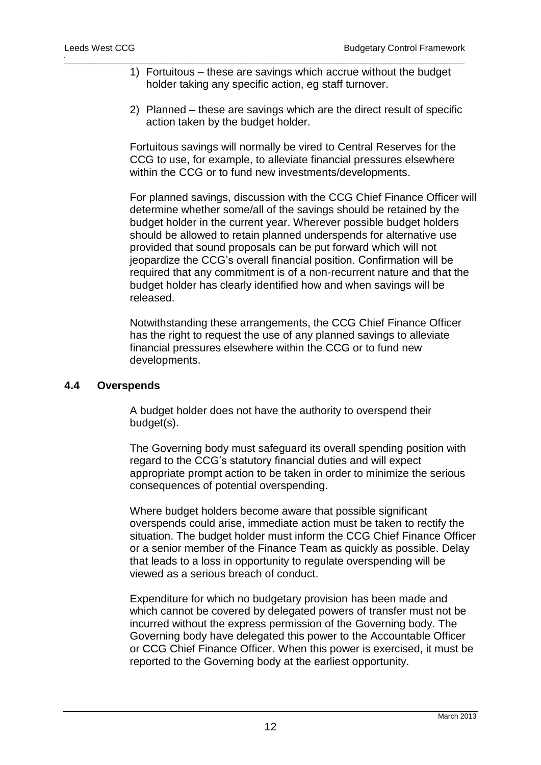1) Fortuitous – these are savings which accrue without the budget holder taking any specific action, eg staff turnover.

**\_\_\_\_\_\_\_\_\_\_\_\_\_\_\_\_\_\_\_\_\_\_\_\_\_\_\_\_\_\_\_\_\_\_\_\_\_\_\_\_\_\_\_\_\_\_\_\_\_\_\_\_\_\_\_\_\_\_\_\_\_\_\_\_\_\_**

2) Planned – these are savings which are the direct result of specific action taken by the budget holder.

Fortuitous savings will normally be vired to Central Reserves for the CCG to use, for example, to alleviate financial pressures elsewhere within the CCG or to fund new investments/developments.

For planned savings, discussion with the CCG Chief Finance Officer will determine whether some/all of the savings should be retained by the budget holder in the current year. Wherever possible budget holders should be allowed to retain planned underspends for alternative use provided that sound proposals can be put forward which will not jeopardize the CCG's overall financial position. Confirmation will be required that any commitment is of a non-recurrent nature and that the budget holder has clearly identified how and when savings will be released.

Notwithstanding these arrangements, the CCG Chief Finance Officer has the right to request the use of any planned savings to alleviate financial pressures elsewhere within the CCG or to fund new developments.

#### **4.4 Overspends**

A budget holder does not have the authority to overspend their budget(s).

The Governing body must safeguard its overall spending position with regard to the CCG's statutory financial duties and will expect appropriate prompt action to be taken in order to minimize the serious consequences of potential overspending.

Where budget holders become aware that possible significant overspends could arise, immediate action must be taken to rectify the situation. The budget holder must inform the CCG Chief Finance Officer or a senior member of the Finance Team as quickly as possible. Delay that leads to a loss in opportunity to regulate overspending will be viewed as a serious breach of conduct.

Expenditure for which no budgetary provision has been made and which cannot be covered by delegated powers of transfer must not be incurred without the express permission of the Governing body. The Governing body have delegated this power to the Accountable Officer or CCG Chief Finance Officer. When this power is exercised, it must be reported to the Governing body at the earliest opportunity.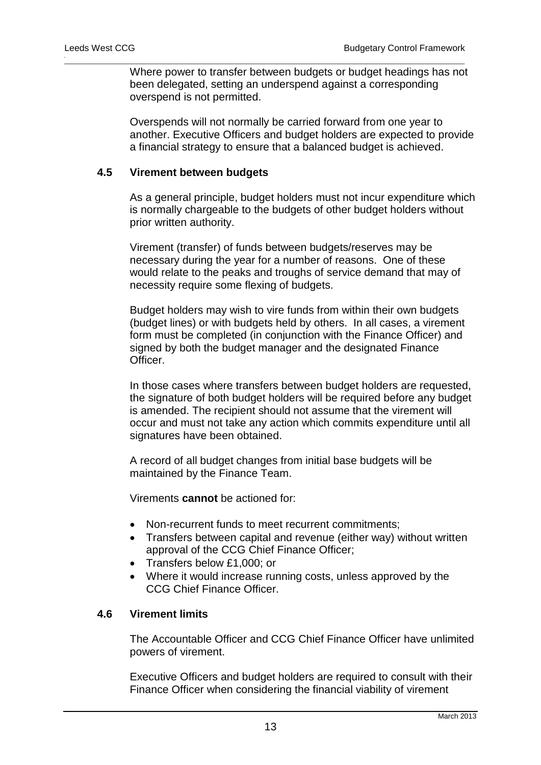Where power to transfer between budgets or budget headings has not been delegated, setting an underspend against a corresponding overspend is not permitted.

**\_\_\_\_\_\_\_\_\_\_\_\_\_\_\_\_\_\_\_\_\_\_\_\_\_\_\_\_\_\_\_\_\_\_\_\_\_\_\_\_\_\_\_\_\_\_\_\_\_\_\_\_\_\_\_\_\_\_\_\_\_\_\_\_\_\_**

Overspends will not normally be carried forward from one year to another. Executive Officers and budget holders are expected to provide a financial strategy to ensure that a balanced budget is achieved.

#### **4.5 Virement between budgets**

As a general principle, budget holders must not incur expenditure which is normally chargeable to the budgets of other budget holders without prior written authority.

Virement (transfer) of funds between budgets/reserves may be necessary during the year for a number of reasons. One of these would relate to the peaks and troughs of service demand that may of necessity require some flexing of budgets.

Budget holders may wish to vire funds from within their own budgets (budget lines) or with budgets held by others. In all cases, a virement form must be completed (in conjunction with the Finance Officer) and signed by both the budget manager and the designated Finance Officer.

In those cases where transfers between budget holders are requested, the signature of both budget holders will be required before any budget is amended. The recipient should not assume that the virement will occur and must not take any action which commits expenditure until all signatures have been obtained.

A record of all budget changes from initial base budgets will be maintained by the Finance Team.

Virements **cannot** be actioned for:

- Non-recurrent funds to meet recurrent commitments;
- Transfers between capital and revenue (either way) without written approval of the CCG Chief Finance Officer;
- Transfers below £1,000; or
- Where it would increase running costs, unless approved by the CCG Chief Finance Officer.

## **4.6 Virement limits**

The Accountable Officer and CCG Chief Finance Officer have unlimited powers of virement.

Executive Officers and budget holders are required to consult with their Finance Officer when considering the financial viability of virement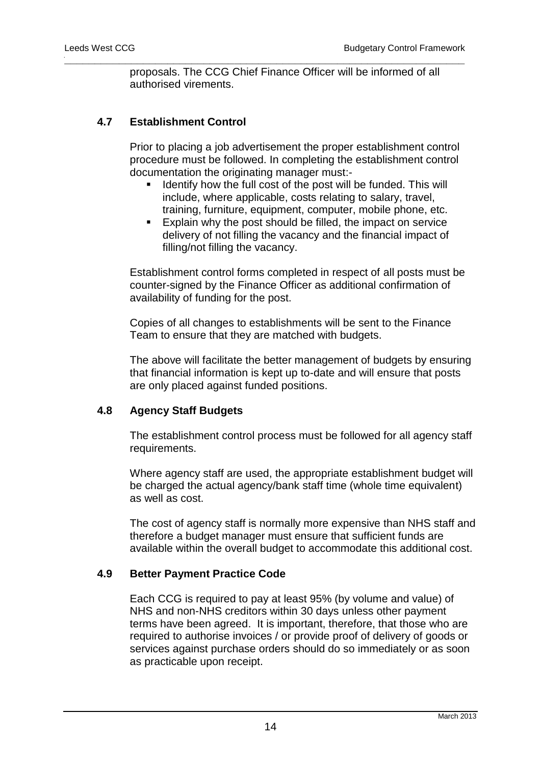proposals. The CCG Chief Finance Officer will be informed of all authorised virements.

**\_\_\_\_\_\_\_\_\_\_\_\_\_\_\_\_\_\_\_\_\_\_\_\_\_\_\_\_\_\_\_\_\_\_\_\_\_\_\_\_\_\_\_\_\_\_\_\_\_\_\_\_\_\_\_\_\_\_\_\_\_\_\_\_\_\_**

## **4.7 Establishment Control**

Prior to placing a job advertisement the proper establishment control procedure must be followed. In completing the establishment control documentation the originating manager must:-

- Identify how the full cost of the post will be funded. This will include, where applicable, costs relating to salary, travel, training, furniture, equipment, computer, mobile phone, etc.
- **Explain why the post should be filled, the impact on service** delivery of not filling the vacancy and the financial impact of filling/not filling the vacancy.

Establishment control forms completed in respect of all posts must be counter-signed by the Finance Officer as additional confirmation of availability of funding for the post.

Copies of all changes to establishments will be sent to the Finance Team to ensure that they are matched with budgets.

The above will facilitate the better management of budgets by ensuring that financial information is kept up to-date and will ensure that posts are only placed against funded positions.

## **4.8 Agency Staff Budgets**

The establishment control process must be followed for all agency staff requirements.

Where agency staff are used, the appropriate establishment budget will be charged the actual agency/bank staff time (whole time equivalent) as well as cost.

The cost of agency staff is normally more expensive than NHS staff and therefore a budget manager must ensure that sufficient funds are available within the overall budget to accommodate this additional cost.

## **4.9 Better Payment Practice Code**

Each CCG is required to pay at least 95% (by volume and value) of NHS and non-NHS creditors within 30 days unless other payment terms have been agreed. It is important, therefore, that those who are required to authorise invoices / or provide proof of delivery of goods or services against purchase orders should do so immediately or as soon as practicable upon receipt.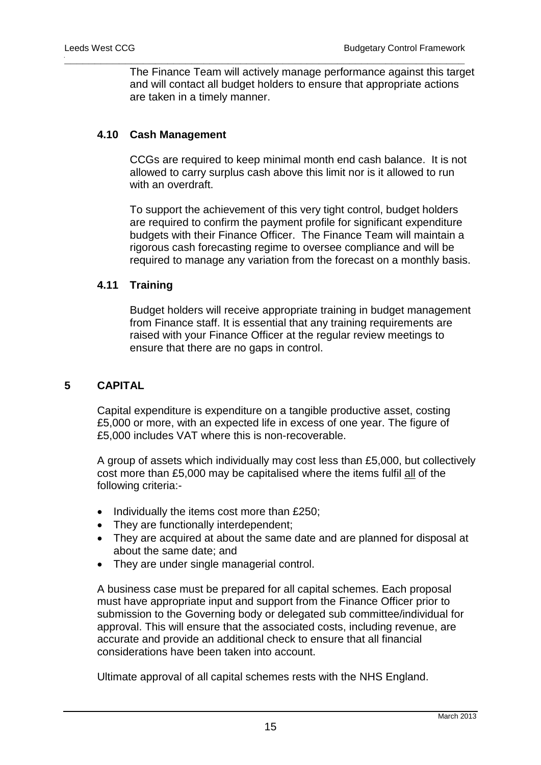The Finance Team will actively manage performance against this target and will contact all budget holders to ensure that appropriate actions are taken in a timely manner.

**\_\_\_\_\_\_\_\_\_\_\_\_\_\_\_\_\_\_\_\_\_\_\_\_\_\_\_\_\_\_\_\_\_\_\_\_\_\_\_\_\_\_\_\_\_\_\_\_\_\_\_\_\_\_\_\_\_\_\_\_\_\_\_\_\_\_**

## **4.10 Cash Management**

CCGs are required to keep minimal month end cash balance. It is not allowed to carry surplus cash above this limit nor is it allowed to run with an overdraft.

To support the achievement of this very tight control, budget holders are required to confirm the payment profile for significant expenditure budgets with their Finance Officer. The Finance Team will maintain a rigorous cash forecasting regime to oversee compliance and will be required to manage any variation from the forecast on a monthly basis.

## **4.11 Training**

Budget holders will receive appropriate training in budget management from Finance staff. It is essential that any training requirements are raised with your Finance Officer at the regular review meetings to ensure that there are no gaps in control.

## **5 CAPITAL**

Capital expenditure is expenditure on a tangible productive asset, costing £5,000 or more, with an expected life in excess of one year. The figure of £5,000 includes VAT where this is non-recoverable.

A group of assets which individually may cost less than £5,000, but collectively cost more than £5,000 may be capitalised where the items fulfil all of the following criteria:-

- $\bullet$  Individually the items cost more than £250;
- They are functionally interdependent;
- They are acquired at about the same date and are planned for disposal at about the same date; and
- They are under single managerial control.

A business case must be prepared for all capital schemes. Each proposal must have appropriate input and support from the Finance Officer prior to submission to the Governing body or delegated sub committee/individual for approval. This will ensure that the associated costs, including revenue, are accurate and provide an additional check to ensure that all financial considerations have been taken into account.

Ultimate approval of all capital schemes rests with the NHS England.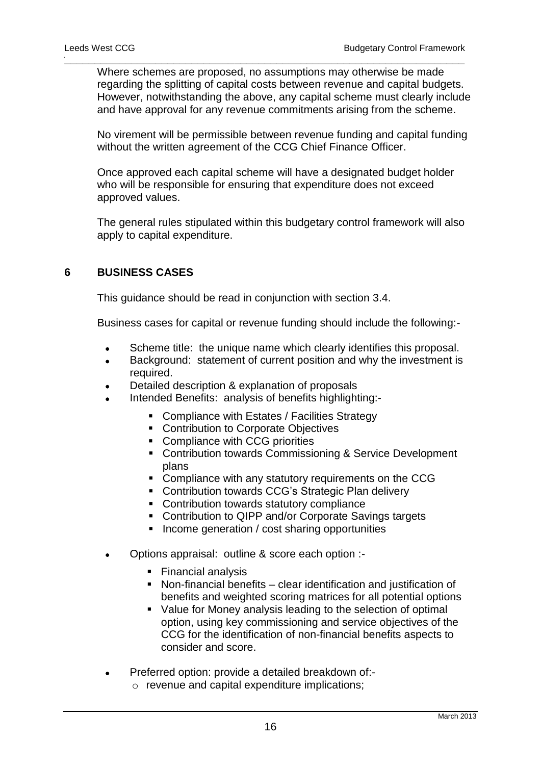Where schemes are proposed, no assumptions may otherwise be made regarding the splitting of capital costs between revenue and capital budgets. However, notwithstanding the above, any capital scheme must clearly include and have approval for any revenue commitments arising from the scheme.

**\_\_\_\_\_\_\_\_\_\_\_\_\_\_\_\_\_\_\_\_\_\_\_\_\_\_\_\_\_\_\_\_\_\_\_\_\_\_\_\_\_\_\_\_\_\_\_\_\_\_\_\_\_\_\_\_\_\_\_\_\_\_\_\_\_\_**

No virement will be permissible between revenue funding and capital funding without the written agreement of the CCG Chief Finance Officer.

Once approved each capital scheme will have a designated budget holder who will be responsible for ensuring that expenditure does not exceed approved values.

The general rules stipulated within this budgetary control framework will also apply to capital expenditure.

## **6 BUSINESS CASES**

This guidance should be read in conjunction with section 3.4.

Business cases for capital or revenue funding should include the following:-

- Scheme title: the unique name which clearly identifies this proposal.
- Background: statement of current position and why the investment is required.
- Detailed description & explanation of proposals
- Intended Benefits: analysis of benefits highlighting:-
	- **EXECOMPLE COMPLIANCE With Estates / Facilities Strategy**
	- **Contribution to Corporate Objectives**
	- Compliance with CCG priorities
	- **EXECONTRIBUTION COMMISSIONING & Service Development** plans
	- **Compliance with any statutory requirements on the CCG**
	- Contribution towards CCG's Strategic Plan delivery
	- **Contribution towards statutory compliance**
	- Contribution to QIPP and/or Corporate Savings targets
	- $\blacksquare$  Income generation / cost sharing opportunities
- Options appraisal: outline & score each option :-
	- **Financial analysis**
	- Non-financial benefits clear identification and justification of benefits and weighted scoring matrices for all potential options
	- Value for Money analysis leading to the selection of optimal option, using key commissioning and service objectives of the CCG for the identification of non-financial benefits aspects to consider and score.
- Preferred option: provide a detailed breakdown of:
	- o revenue and capital expenditure implications;